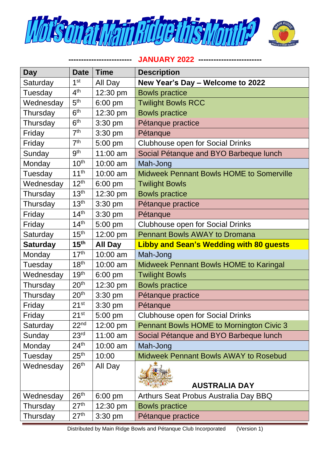

**------------------------- JANUARY 2022 -------------------------**

| Day             | <b>Date</b>      | <b>Time</b>       | <b>Description</b>                              |
|-----------------|------------------|-------------------|-------------------------------------------------|
| Saturday        | 1 <sup>st</sup>  | All Day           | New Year's Day - Welcome to 2022                |
| Tuesday         | 4 <sup>th</sup>  | 12:30 pm          | <b>Bowls practice</b>                           |
| Wednesday       | 5 <sup>th</sup>  | 6:00 pm           | <b>Twilight Bowls RCC</b>                       |
| Thursday        | 6 <sup>th</sup>  | 12:30 pm          | <b>Bowls practice</b>                           |
| Thursday        | 6 <sup>th</sup>  | 3:30 pm           | Pétanque practice                               |
| Friday          | 7 <sup>th</sup>  | $3:30$ pm         | Pétanque                                        |
| Friday          | 7 <sup>th</sup>  | 5:00 pm           | <b>Clubhouse open for Social Drinks</b>         |
| Sunday          | <b>gth</b>       | 11:00 am          | Social Pétanque and BYO Barbeque lunch          |
| Monday          | 10 <sup>th</sup> | 10:00 am          | Mah-Jong                                        |
| Tuesday         | 11 <sup>th</sup> | 10:00 am          | <b>Midweek Pennant Bowls HOME to Somerville</b> |
| Wednesday       | 12 <sup>th</sup> | 6:00 pm           | <b>Twilight Bowls</b>                           |
| Thursday        | 13 <sup>th</sup> | 12:30 pm          | <b>Bowls practice</b>                           |
| Thursday        | 13 <sup>th</sup> | 3:30 pm           | Pétanque practice                               |
| Friday          | 14 <sup>th</sup> | 3:30 pm           | Pétanque                                        |
| Friday          | 14 <sup>th</sup> | 5:00 pm           | <b>Clubhouse open for Social Drinks</b>         |
| Saturday        | 15 <sup>th</sup> | 12:00 pm          | <b>Pennant Bowls AWAY to Dromana</b>            |
| <b>Saturday</b> | 15 <sup>th</sup> | <b>All Day</b>    | <b>Libby and Sean's Wedding with 80 guests</b>  |
| Monday          | 17 <sup>th</sup> | 10:00 am          | Mah-Jong                                        |
| Tuesday         | 18 <sup>th</sup> | 10:00 am          | <b>Midweek Pennant Bowls HOME to Karingal</b>   |
| Wednesday       | 19 <sup>th</sup> | $6:00 \text{ pm}$ | <b>Twilight Bowls</b>                           |
| Thursday        | 20 <sup>th</sup> | 12:30 pm          | <b>Bowls practice</b>                           |
| Thursday        | 20 <sup>th</sup> | $3:30$ pm         | Pétanque practice                               |
| Friday          | 21 <sup>st</sup> | 3:30 pm           | Pétanque                                        |
| Friday          | $21^{st}$        | 5:00 pm           | <b>Clubhouse open for Social Drinks</b>         |
| Saturday        | 22 <sup>nd</sup> | 12:00 pm          | <b>Pennant Bowls HOME to Mornington Civic 3</b> |
| Sunday          | 23 <sup>rd</sup> | 11:00 am          | Social Pétanque and BYO Barbeque lunch          |
| Monday          | 24 <sup>th</sup> | 10:00 am          | Mah-Jong                                        |
| Tuesday         | 25 <sup>th</sup> | 10:00             | <b>Midweek Pennant Bowls AWAY to Rosebud</b>    |
| Wednesday       | 26 <sup>th</sup> | All Day           | <b>AUSTRALIA DAY</b>                            |
| Wednesday       | 26 <sup>th</sup> | $6:00 \text{ pm}$ | Arthurs Seat Probus Australia Day BBQ           |
| Thursday        | 27 <sup>th</sup> | 12:30 pm          | <b>Bowls practice</b>                           |
| Thursday        | 27 <sup>th</sup> | $3:30$ pm         | Pétanque practice                               |

Distributed by Main Ridge Bowls and Pétanque Club Incorporated (Version 1)